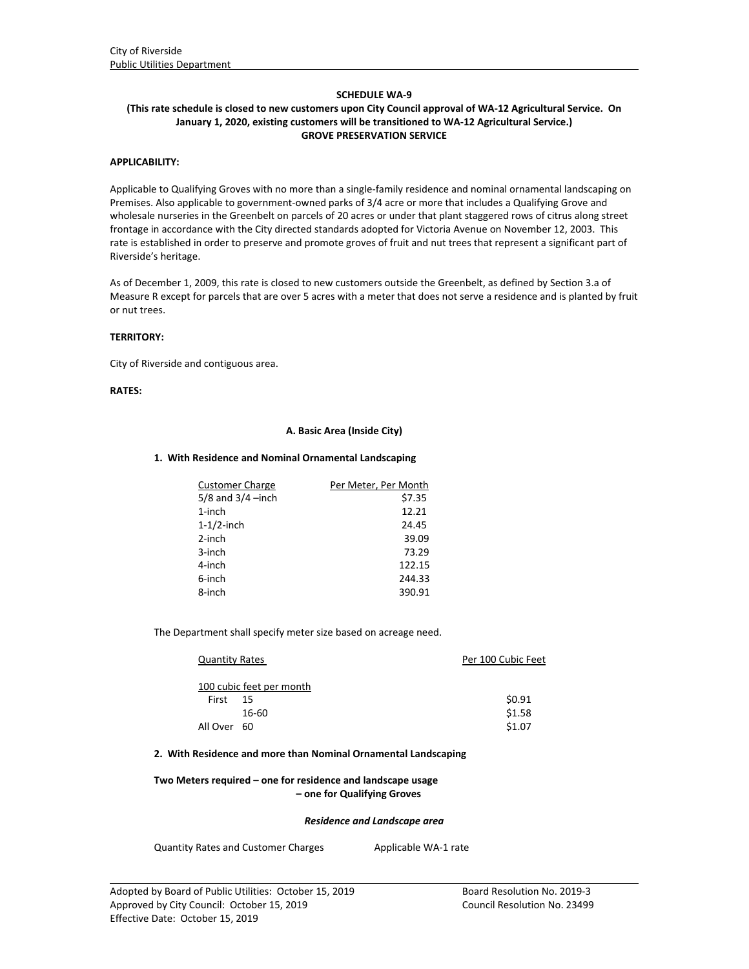# **SCHEDULE WA‐9**

## (This rate schedule is closed to new customers upon City Council approval of WA-12 Agricultural Service. On **January 1, 2020, existing customers will be transitioned to WA‐12 Agricultural Service.) GROVE PRESERVATION SERVICE**

# **APPLICABILITY:**

Applicable to Qualifying Groves with no more than a single‐family residence and nominal ornamental landscaping on Premises. Also applicable to government‐owned parks of 3/4 acre or more that includes a Qualifying Grove and wholesale nurseries in the Greenbelt on parcels of 20 acres or under that plant staggered rows of citrus along street frontage in accordance with the City directed standards adopted for Victoria Avenue on November 12, 2003. This rate is established in order to preserve and promote groves of fruit and nut trees that represent a significant part of Riverside's heritage.

As of December 1, 2009, this rate is closed to new customers outside the Greenbelt, as defined by Section 3.a of Measure R except for parcels that are over 5 acres with a meter that does not serve a residence and is planted by fruit or nut trees.

### **TERRITORY:**

City of Riverside and contiguous area.

## **RATES:**

## **A. Basic Area (Inside City)**

### **1. With Residence and Nominal Ornamental Landscaping**

| <b>Customer Charge</b> | Per Meter, Per Month |
|------------------------|----------------------|
| $5/8$ and $3/4$ -inch  | \$7.35               |
| $1$ -inch              | 12.21                |
| $1-1/2$ -inch          | 24.45                |
| $2$ -inch              | 39.09                |
| 3-inch                 | 73.29                |
| 4-inch                 | 122.15               |
| 6-inch                 | 244.33               |
| 8-inch                 | 390.91               |

The Department shall specify meter size based on acreage need.

| <b>Quantity Rates</b> |                          | Per 100 Cubic Feet |
|-----------------------|--------------------------|--------------------|
|                       | 100 cubic feet per month |                    |
| First                 | -15                      | \$0.91             |
|                       | 16-60                    | \$1.58             |
| All Over 60           |                          | \$1.07             |

## **2. With Residence and more than Nominal Ornamental Landscaping**

# **Two Meters required – one for residence and landscape usage – one for Qualifying Groves**

#### *Residence and Landscape area*

<u> 1989 - Johann Stoff, amerikansk politiker (d. 1989)</u>

Quantity Rates and Customer Charges Applicable WA-1 rate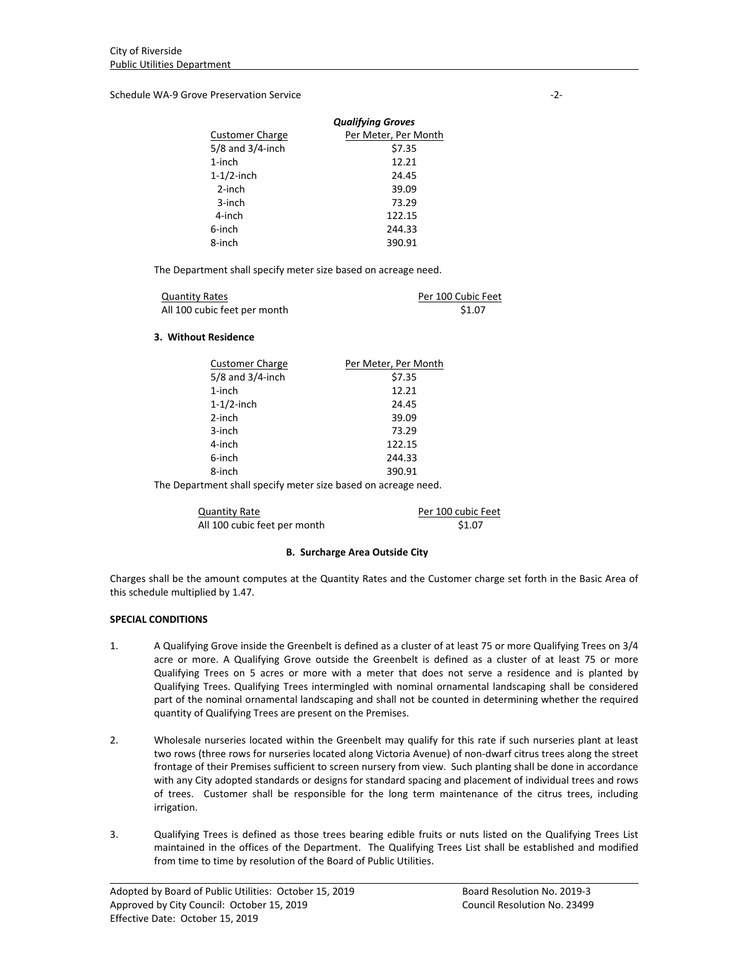Schedule WA‐9 Grove Preservation Service ‐2‐

| <b>Qualifying Groves</b> |                      |  |
|--------------------------|----------------------|--|
| <b>Customer Charge</b>   | Per Meter, Per Month |  |
| $5/8$ and $3/4$ -inch    | \$7.35               |  |
| $1$ -inch                | 12.21                |  |
| $1-1/2$ -inch            | 24.45                |  |
| $2$ -inch                | 39.09                |  |
| 3-inch                   | 73.29                |  |
| 4-inch                   | 122.15               |  |
| 6-inch                   | 244.33               |  |
| 8-inch                   | 390.91               |  |

The Department shall specify meter size based on acreage need.

| <b>Quantity Rates</b>        | Per 100 Cubic Feet |
|------------------------------|--------------------|
| All 100 cubic feet per month | \$1.07             |

## **3. Without Residence**

| \$7.35                                           |
|--------------------------------------------------|
| 12.21                                            |
| 24.45                                            |
| 39.09                                            |
| 73.29                                            |
| 122.15                                           |
| 244.33                                           |
| 390.91                                           |
| $\sim$ $\sim$ $\sim$ $\sim$ $\sim$ $\sim$ $\sim$ |

The Department shall specify meter size based on acreage need.

Quantity Rate **Calculation** Rev. 2012 Per 100 cubic Feet All 100 cubic feet per month \$1.07

# **B. Surcharge Area Outside City**

Charges shall be the amount computes at the Quantity Rates and the Customer charge set forth in the Basic Area of this schedule multiplied by 1.47.

# **SPECIAL CONDITIONS**

- 1. A Qualifying Grove inside the Greenbelt is defined as a cluster of at least 75 or more Qualifying Trees on 3/4 acre or more. A Qualifying Grove outside the Greenbelt is defined as a cluster of at least 75 or more Qualifying Trees on 5 acres or more with a meter that does not serve a residence and is planted by Qualifying Trees. Qualifying Trees intermingled with nominal ornamental landscaping shall be considered part of the nominal ornamental landscaping and shall not be counted in determining whether the required quantity of Qualifying Trees are present on the Premises.
- 2. Wholesale nurseries located within the Greenbelt may qualify for this rate if such nurseries plant at least two rows (three rows for nurseries located along Victoria Avenue) of non‐dwarf citrus trees along the street frontage of their Premises sufficient to screen nursery from view. Such planting shall be done in accordance with any City adopted standards or designs for standard spacing and placement of individual trees and rows of trees. Customer shall be responsible for the long term maintenance of the citrus trees, including irrigation.
- 3. Qualifying Trees is defined as those trees bearing edible fruits or nuts listed on the Qualifying Trees List maintained in the offices of the Department. The Qualifying Trees List shall be established and modified from time to time by resolution of the Board of Public Utilities.

<u> 1989 - Johann Stoff, amerikansk politiker (d. 1989)</u>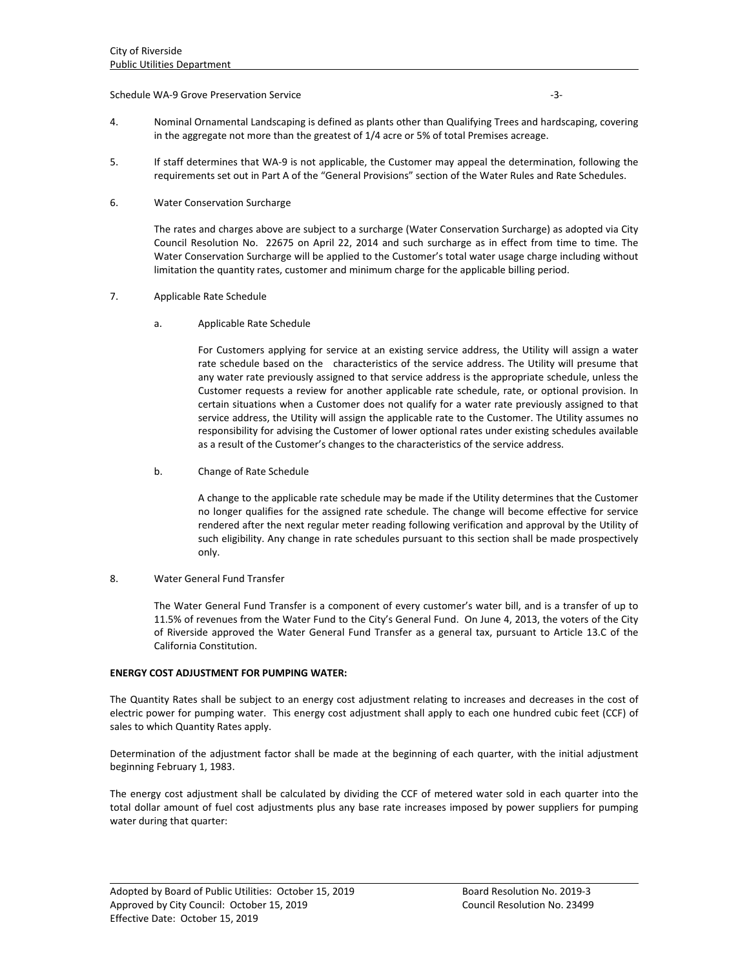## Schedule WA‐9 Grove Preservation Service ‐3‐

- 4. Nominal Ornamental Landscaping is defined as plants other than Qualifying Trees and hardscaping, covering in the aggregate not more than the greatest of 1/4 acre or 5% of total Premises acreage.
- 5. If staff determines that WA‐9 is not applicable, the Customer may appeal the determination, following the requirements set out in Part A of the "General Provisions" section of the Water Rules and Rate Schedules.
- 6. Water Conservation Surcharge

The rates and charges above are subject to a surcharge (Water Conservation Surcharge) as adopted via City Council Resolution No. 22675 on April 22, 2014 and such surcharge as in effect from time to time. The Water Conservation Surcharge will be applied to the Customer's total water usage charge including without limitation the quantity rates, customer and minimum charge for the applicable billing period.

# 7. Applicable Rate Schedule

a. Applicable Rate Schedule

For Customers applying for service at an existing service address, the Utility will assign a water rate schedule based on the characteristics of the service address. The Utility will presume that any water rate previously assigned to that service address is the appropriate schedule, unless the Customer requests a review for another applicable rate schedule, rate, or optional provision. In certain situations when a Customer does not qualify for a water rate previously assigned to that service address, the Utility will assign the applicable rate to the Customer. The Utility assumes no responsibility for advising the Customer of lower optional rates under existing schedules available as a result of the Customer's changes to the characteristics of the service address.

b. Change of Rate Schedule

A change to the applicable rate schedule may be made if the Utility determines that the Customer no longer qualifies for the assigned rate schedule. The change will become effective for service rendered after the next regular meter reading following verification and approval by the Utility of such eligibility. Any change in rate schedules pursuant to this section shall be made prospectively only.

# 8. Water General Fund Transfer

The Water General Fund Transfer is a component of every customer's water bill, and is a transfer of up to 11.5% of revenues from the Water Fund to the City's General Fund. On June 4, 2013, the voters of the City of Riverside approved the Water General Fund Transfer as a general tax, pursuant to Article 13.C of the California Constitution.

### **ENERGY COST ADJUSTMENT FOR PUMPING WATER:**

The Quantity Rates shall be subject to an energy cost adjustment relating to increases and decreases in the cost of electric power for pumping water. This energy cost adjustment shall apply to each one hundred cubic feet (CCF) of sales to which Quantity Rates apply.

Determination of the adjustment factor shall be made at the beginning of each quarter, with the initial adjustment beginning February 1, 1983.

The energy cost adjustment shall be calculated by dividing the CCF of metered water sold in each quarter into the total dollar amount of fuel cost adjustments plus any base rate increases imposed by power suppliers for pumping water during that quarter:

<u> 1989 - Johann Stoff, amerikansk politiker (d. 1989)</u>